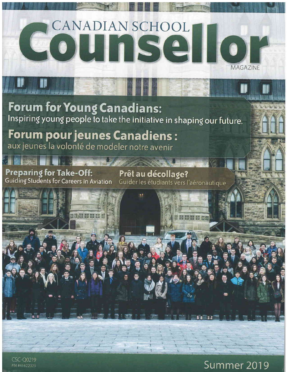# CANADIAN SCHOOL Counsell



**Forum for Young Canadians:** Inspiring young people to take the initiative in shaping our future.

## **Forum pour jeunes Canadiens:**

aux jeunes la volonté de modeler notre avenir

Preparing for Take-Off: Prêt au décollage?

Guiding Students for Careers in Aviation Guider les étudiants vers l'aéronautique



### Summer 2019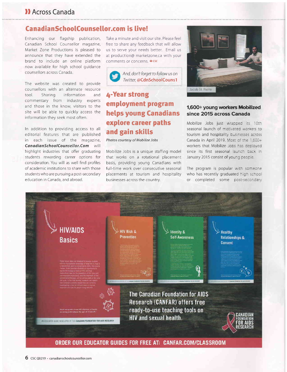#### ll Across Canada

#### Canadian5choolCounsellor.com is live!

Enhancing our flagship publication, Canadian School Counsellor magazine, Market Zone Productions is pleased to announce that they have extended the brand to include an online platform now available for high school guidance counsellors across Canada

The website was created to provide counsellors with an alternate resource tool. Sharing information and commentary from industry experts and those in the know, visitors to the site will be able to quickly access the information they seek most often.

In addition to providing access to all editorial features that are published in each issue of the magazine, CanadianSchoolCounsellor.Com will hiqhliqht industries that offer graduating students rewarding career options for consideration. You will as well find profiles of academlc institutions to share with those students who are pursuing a post-secondary education in Canada, and abroad.

Take a minute and visit our site. Please feel free to share any feedback that will allow us to serve your needs better. Email us at production@ marketzone.ca with your comments or concerns.  $\triangleq$ csc

And, don't forget to follow us on **Twitter, @CdnSchoolCouns1** 

#### 4-Year strong employment program helps young Canadians explore career paths and gain skilts

Photos courtesy of Mobilize Jobs

Mobilize Jobs is a unique staffing model that works on a rotational placement basis, providing young Canadians with full-time work over consecutive seasonal placements at tourism and hospitality businesses across the country.



#### 1,600+ young workers Mobilized since 2015 across Canada

Mobilize Jobs just wrapped its 10th seasonal launch of motivated workers to tourism and hospitality businesses across Canada in April 2019. Most of the 1,600+ workers that Mobilize Jobs has deployed since its first seasonal launch back in January 2015 consist of young people.

The program is popular with someone who has recently graduated nich school or completed some post-secondary